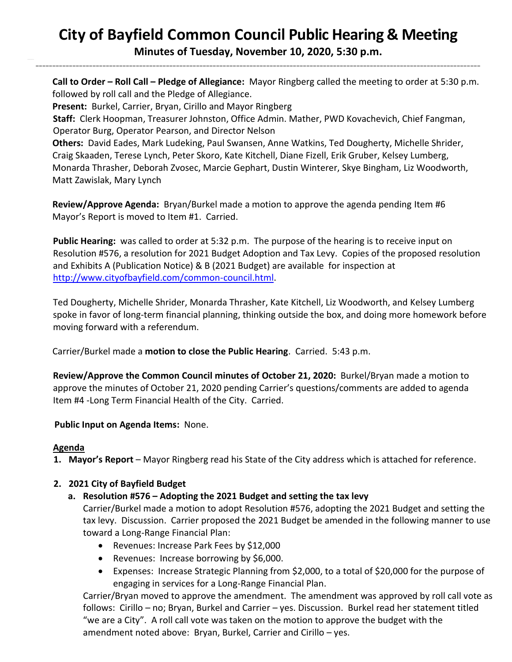# **City of Bayfield Common Council Public Hearing & Meeting**

**Minutes of Tuesday, November 10, 2020, 5:30 p.m.** \_\_\_\_\_\_\_\_\_\_\_\_\_\_\_\_\_\_\_\_\_\_\_\_\_\_\_\_\_\_\_\_\_\_\_\_\_\_\_\_\_\_\_\_\_\_\_\_\_\_\_\_\_\_\_\_\_\_\_\_\_\_\_\_\_\_\_\_\_\_\_\_\_\_\_\_\_\_\_\_\_\_\_\_\_\_\_\_\_\_\_\_\_\_\_\_\_\_\_\_\_\_\_\_\_\_\_\_\_\_\_\_\_\_\_\_\_\_\_\_\_\_\_\_\_\_\_\_\_\_\_\_\_

 **Call to Order – Roll Call – Pledge of Allegiance:** Mayor Ringberg called the meeting to order at 5:30 p.m. followed by roll call and the Pledge of Allegiance.

**Present:** Burkel, Carrier, Bryan, Cirillo and Mayor Ringberg

**Staff:** Clerk Hoopman, Treasurer Johnston, Office Admin. Mather, PWD Kovachevich, Chief Fangman, Operator Burg, Operator Pearson, and Director Nelson

 **Others:** David Eades, Mark Ludeking, Paul Swansen, Anne Watkins, Ted Dougherty, Michelle Shrider, Craig Skaaden, Terese Lynch, Peter Skoro, Kate Kitchell, Diane Fizell, Erik Gruber, Kelsey Lumberg, Monarda Thrasher, Deborah Zvosec, Marcie Gephart, Dustin Winterer, Skye Bingham, Liz Woodworth, Matt Zawislak, Mary Lynch

 **Review/Approve Agenda:** Bryan/Burkel made a motion to approve the agenda pending Item #6 Mayor's Report is moved to Item #1. Carried.

**Public Hearing:** was called to order at 5:32 p.m. The purpose of the hearing is to receive input on Resolution #576, a resolution for 2021 Budget Adoption and Tax Levy. Copies of the proposed resolution and Exhibits A (Publication Notice) & B (2021 Budget) are available for inspection at [http://www.cityofbayfield.com/common-council.html.](http://www.cityofbayfield.com/common-council.html)

Ted Dougherty, Michelle Shrider, Monarda Thrasher, Kate Kitchell, Liz Woodworth, and Kelsey Lumberg spoke in favor of long-term financial planning, thinking outside the box, and doing more homework before moving forward with a referendum.

Carrier/Burkel made a **motion to close the Public Hearing**. Carried. 5:43 p.m.

**Review/Approve the Common Council minutes of October 21, 2020:** Burkel/Bryan made a motion to approve the minutes of October 21, 2020 pending Carrier's questions/comments are added to agenda Item #4 -Long Term Financial Health of the City. Carried.

**Public Input on Agenda Items:** None.

## **Agenda**

**1. Mayor's Report** – Mayor Ringberg read his State of the City address which is attached for reference.

## **2. 2021 City of Bayfield Budget**

## **a. Resolution #576 – Adopting the 2021 Budget and setting the tax levy**

Carrier/Burkel made a motion to adopt Resolution #576, adopting the 2021 Budget and setting the tax levy. Discussion. Carrier proposed the 2021 Budget be amended in the following manner to use toward a Long-Range Financial Plan:

- Revenues: Increase Park Fees by \$12,000
- Revenues: Increase borrowing by \$6,000.
- Expenses: Increase Strategic Planning from \$2,000, to a total of \$20,000 for the purpose of engaging in services for a Long-Range Financial Plan.

Carrier/Bryan moved to approve the amendment. The amendment was approved by roll call vote as follows: Cirillo – no; Bryan, Burkel and Carrier – yes. Discussion. Burkel read her statement titled "we are a City". A roll call vote was taken on the motion to approve the budget with the amendment noted above: Bryan, Burkel, Carrier and Cirillo – yes.